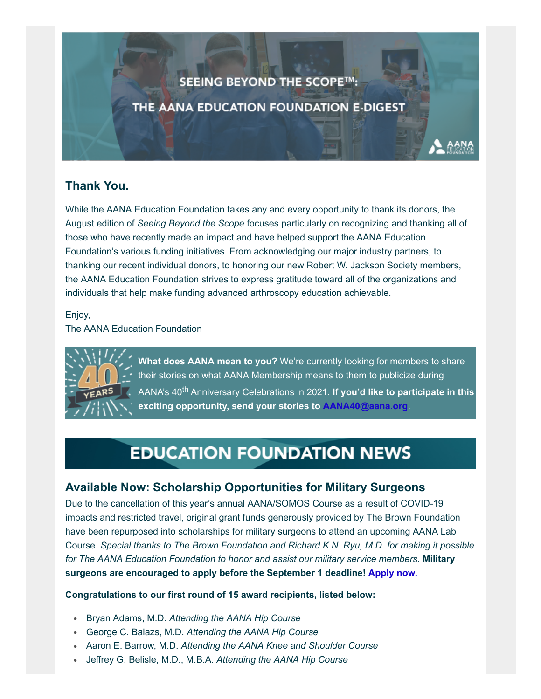## SEEING BEYOND THE SCOPE™:

THE AANA EDUCATION FOUNDATION E-DIGEST

## **Thank You.**

While the AANA Education Foundation takes any and every opportunity to thank its donors, the August edition of *Seeing Beyond the Scope* focuses particularly on recognizing and thanking all of those who have recently made an impact and have helped support the AANA Education Foundation's various funding initiatives. From acknowledging our major industry partners, to thanking our recent individual donors, to honoring our new Robert W. Jackson Society members, the AANA Education Foundation strives to express gratitude toward all of the organizations and individuals that help make funding advanced arthroscopy education achievable.

Enjoy,

The AANA Education Foundation



**What does AANA mean to you?** We're currently looking for members to share their stories on what AANA Membership means to them to publicize during AANA's 40<sup>th</sup> Anniversary Celebrations in 2021. If you'd like to participate in this **exciting opportunity, send your stories to [AANA40@aana.org](mailto:AANA40@aana.org?subject=AANA%20Member%20Testimonial)**.

# **EDUCATION FOUNDATION NEWS**

### **Available Now: Scholarship Opportunities for Military Surgeons**

Due to the cancellation of this year's annual AANA/SOMOS Course as a result of COVID-19 impacts and restricted travel, original grant funds generously provided by The Brown Foundation have been repurposed into scholarships for military surgeons to attend an upcoming AANA Lab Course. *Special thanks to The Brown Foundation and Richard K.N. Ryu, M.D. for making it possible for The AANA Education Foundation to honor and assist our military service members.* **Military surgeons are encouraged to apply before the September 1 deadline! [Apply now.](https://form.jotform.com/201764106486153)**

#### **Congratulations to our first round of 15 award recipients, listed below:**

- Bryan Adams, M.D. *Attending the AANA Hip Course*
- George C. Balazs, M.D. *Attending the AANA Hip Course*
- Aaron E. Barrow, M.D. *Attending the AANA Knee and Shoulder Course*
- Jeffrey G. Belisle, M.D., M.B.A. *Attending the AANA Hip Course*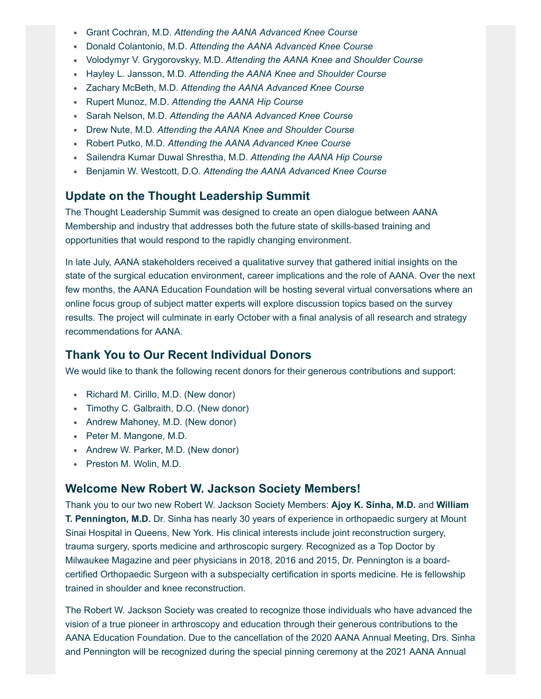- Grant Cochran, M.D. *Attending the AANA Advanced Knee Course*
- Donald Colantonio, M.D. *Attending the AANA Advanced Knee Course*
- Volodymyr V. Grygorovskyy, M.D. *Attending the AANA Knee and Shoulder Course*
- Hayley L. Jansson, M.D. *Attending the AANA Knee and Shoulder Course*
- Zachary McBeth, M.D. *Attending the AANA Advanced Knee Course*
- Rupert Munoz, M.D. *Attending the AANA Hip Course*
- Sarah Nelson, M.D. *Attending the AANA Advanced Knee Course*
- Drew Nute, M.D. *Attending the AANA Knee and Shoulder Course*
- Robert Putko, M.D. *Attending the AANA Advanced Knee Course*
- Sailendra Kumar Duwal Shrestha, M.D. *Attending the AANA Hip Course*
- Benjamin W. Westcott, D.O. *Attending the AANA Advanced Knee Course*

#### **Update on the Thought Leadership Summit**

The Thought Leadership Summit was designed to create an open dialogue between AANA Membership and industry that addresses both the future state of skills-based training and opportunities that would respond to the rapidly changing environment.

In late July, AANA stakeholders received a qualitative survey that gathered initial insights on the state of the surgical education environment, career implications and the role of AANA. Over the next few months, the AANA Education Foundation will be hosting several virtual conversations where an online focus group of subject matter experts will explore discussion topics based on the survey results. The project will culminate in early October with a final analysis of all research and strategy recommendations for AANA.

#### **Thank You to Our Recent Individual Donors**

We would like to thank the following recent donors for their generous contributions and support:

- Richard M. Cirillo, M.D. (New donor)
- Timothy C. Galbraith, D.O. (New donor)
- Andrew Mahoney, M.D. (New donor)
- Peter M. Mangone, M.D.
- Andrew W. Parker, M.D. (New donor)
- Preston M. Wolin, M.D.

#### **Welcome New Robert W. Jackson Society Members!**

Thank you to our two new Robert W. Jackson Society Members: **Ajoy K. Sinha, M.D.** and **William T. Pennington, M.D.** Dr. Sinha has nearly 30 years of experience in orthopaedic surgery at Mount Sinai Hospital in Queens, New York. His clinical interests include joint reconstruction surgery, trauma surgery, sports medicine and arthroscopic surgery. Recognized as a Top Doctor by Milwaukee Magazine and peer physicians in 2018, 2016 and 2015, Dr. Pennington is a boardcertified Orthopaedic Surgeon with a subspecialty certification in sports medicine. He is fellowship trained in shoulder and knee reconstruction.

The Robert W. Jackson Society was created to recognize those individuals who have advanced the vision of a true pioneer in arthroscopy and education through their generous contributions to the AANA Education Foundation. Due to the cancellation of the 2020 AANA Annual Meeting, Drs. Sinha and Pennington will be recognized during the special pinning ceremony at the 2021 AANA Annual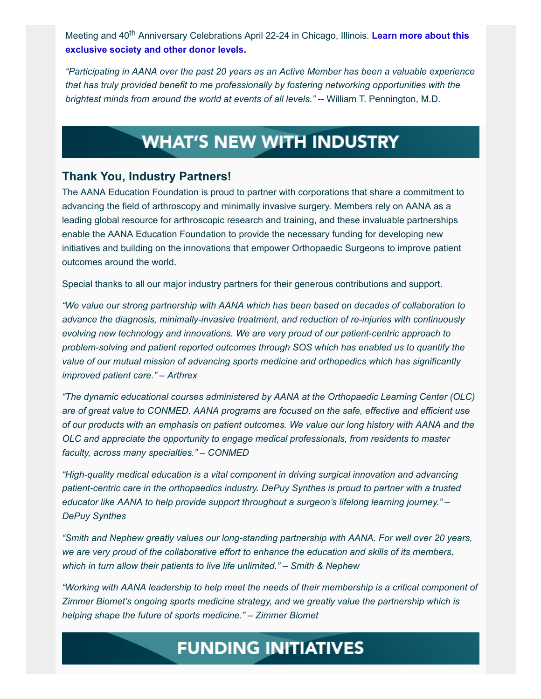Meeting and 40<sup>th</sup> [Anniversary Celebrations April 22-24 in Chicago, Illinois.](https://www.aana.org/AANAIMIS/Members/Education_Foundation/Donor_Levels/Members/Education-Foundation/Donor-Levels.aspx?hkey=eb62d7d4-2b8c-41a7-bdd7-eb8f9d29de38) Learn more about this **exclusive society and other donor levels.**

*"Participating in AANA over the past 20 years as an Active Member has been a valuable experience that has truly provided benefit to me professionally by fostering networking opportunities with the brightest minds from around the world at events of all levels."* -- William T. Pennington, M.D.

## **WHAT'S NEW WITH INDUSTRY**

#### **Thank You, Industry Partners!**

The AANA Education Foundation is proud to partner with corporations that share a commitment to advancing the field of arthroscopy and minimally invasive surgery. Members rely on AANA as a leading global resource for arthroscopic research and training, and these invaluable partnerships enable the AANA Education Foundation to provide the necessary funding for developing new initiatives and building on the innovations that empower Orthopaedic Surgeons to improve patient outcomes around the world.

Special thanks to all our major industry partners for their generous contributions and support.

*"We value our strong partnership with AANA which has been based on decades of collaboration to advance the diagnosis, minimally-invasive treatment, and reduction of re-injuries with continuously evolving new technology and innovations. We are very proud of our patient-centric approach to problem-solving and patient reported outcomes through SOS which has enabled us to quantify the value of our mutual mission of advancing sports medicine and orthopedics which has significantly improved patient care." – Arthrex*

*"The dynamic educational courses administered by AANA at the Orthopaedic Learning Center (OLC) are of great value to CONMED. AANA programs are focused on the safe, effective and efficient use of our products with an emphasis on patient outcomes. We value our long history with AANA and the OLC and appreciate the opportunity to engage medical professionals, from residents to master faculty, across many specialties." – CONMED*

*"High-quality medical education is a vital component in driving surgical innovation and advancing patient-centric care in the orthopaedics industry. DePuy Synthes is proud to partner with a trusted educator like AANA to help provide support throughout a surgeon's lifelong learning journey." – DePuy Synthes*

*"Smith and Nephew greatly values our long-standing partnership with AANA. For well over 20 years, we are very proud of the collaborative effort to enhance the education and skills of its members, which in turn allow their patients to live life unlimited." – Smith & Nephew*

*"Working with AANA leadership to help meet the needs of their membership is a critical component of Zimmer Biomet's ongoing sports medicine strategy, and we greatly value the partnership which is helping shape the future of sports medicine." – Zimmer Biomet*

# **FUNDING INITIATIVES**